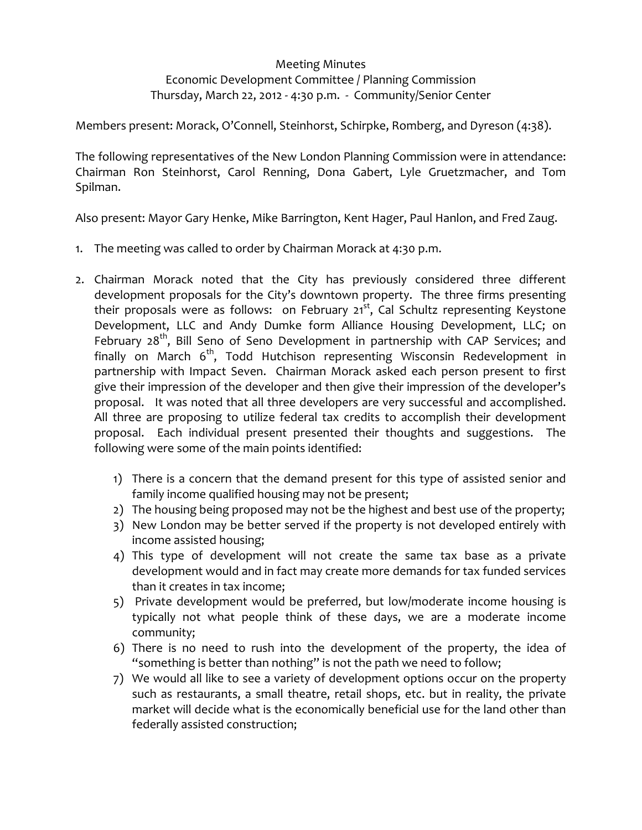## Meeting Minutes

## Economic Development Committee / Planning Commission Thursday, March 22, 2012 ‐ 4:30 p.m. ‐ Community/Senior Center

Members present: Morack, O'Connell, Steinhorst, Schirpke, Romberg, and Dyreson (4:38).

The following representatives of the New London Planning Commission were in attendance: Chairman Ron Steinhorst, Carol Renning, Dona Gabert, Lyle Gruetzmacher, and Tom Spilman.

Also present: Mayor Gary Henke, Mike Barrington, Kent Hager, Paul Hanlon, and Fred Zaug.

- 1. The meeting was called to order by Chairman Morack at 4:30 p.m.
- 2. Chairman Morack noted that the City has previously considered three different development proposals for the City's downtown property. The three firms presenting their proposals were as follows: on February  $21^{st}$ , Cal Schultz representing Keystone Development, LLC and Andy Dumke form Alliance Housing Development, LLC; on February  $28<sup>th</sup>$ , Bill Seno of Seno Development in partnership with CAP Services; and finally on March  $6<sup>th</sup>$ , Todd Hutchison representing Wisconsin Redevelopment in partnership with Impact Seven. Chairman Morack asked each person present to first give their impression of the developer and then give their impression of the developer's proposal. It was noted that all three developers are very successful and accomplished. All three are proposing to utilize federal tax credits to accomplish their development proposal. Each individual present presented their thoughts and suggestions. The following were some of the main points identified:
	- 1) There is a concern that the demand present for this type of assisted senior and family income qualified housing may not be present;
	- 2) The housing being proposed may not be the highest and best use of the property;
	- 3) New London may be better served if the property is not developed entirely with income assisted housing;
	- 4) This type of development will not create the same tax base as a private development would and in fact may create more demands for tax funded services than it creates in tax income;
	- 5) Private development would be preferred, but low/moderate income housing is typically not what people think of these days, we are a moderate income community;
	- 6) There is no need to rush into the development of the property, the idea of "something is better than nothing" is not the path we need to follow;
	- 7) We would all like to see a variety of development options occur on the property such as restaurants, a small theatre, retail shops, etc. but in reality, the private market will decide what is the economically beneficial use for the land other than federally assisted construction;